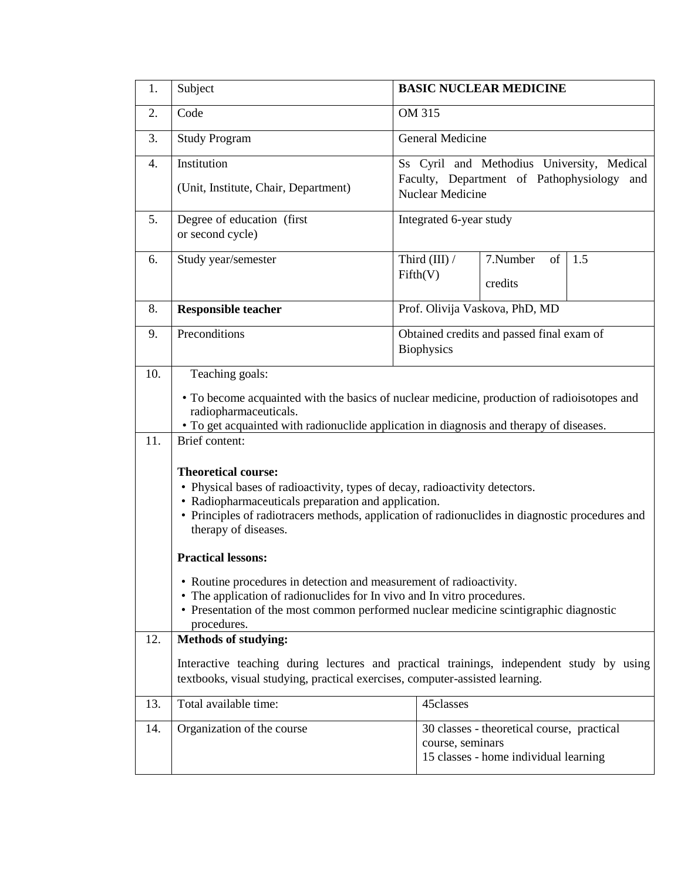| 1.         | Subject                                                                                                                                                                                                                                                                                                                                                                                                                                                                                                                                                                                                                                                                                                                                                                                                                                    | <b>BASIC NUCLEAR MEDICINE</b>                                                                                          |                                                                                                         |     |  |  |
|------------|--------------------------------------------------------------------------------------------------------------------------------------------------------------------------------------------------------------------------------------------------------------------------------------------------------------------------------------------------------------------------------------------------------------------------------------------------------------------------------------------------------------------------------------------------------------------------------------------------------------------------------------------------------------------------------------------------------------------------------------------------------------------------------------------------------------------------------------------|------------------------------------------------------------------------------------------------------------------------|---------------------------------------------------------------------------------------------------------|-----|--|--|
| 2.         | Code                                                                                                                                                                                                                                                                                                                                                                                                                                                                                                                                                                                                                                                                                                                                                                                                                                       | OM 315                                                                                                                 |                                                                                                         |     |  |  |
| 3.         | <b>Study Program</b>                                                                                                                                                                                                                                                                                                                                                                                                                                                                                                                                                                                                                                                                                                                                                                                                                       | General Medicine                                                                                                       |                                                                                                         |     |  |  |
| 4.         | Institution<br>(Unit, Institute, Chair, Department)                                                                                                                                                                                                                                                                                                                                                                                                                                                                                                                                                                                                                                                                                                                                                                                        | Ss Cyril and Methodius University, Medical<br>Faculty, Department of Pathophysiology<br>and<br><b>Nuclear Medicine</b> |                                                                                                         |     |  |  |
| 5.         | Degree of education (first<br>or second cycle)                                                                                                                                                                                                                                                                                                                                                                                                                                                                                                                                                                                                                                                                                                                                                                                             | Integrated 6-year study                                                                                                |                                                                                                         |     |  |  |
| 6.         | Study year/semester                                                                                                                                                                                                                                                                                                                                                                                                                                                                                                                                                                                                                                                                                                                                                                                                                        | Third (III) /<br>Fifth(V)                                                                                              | 7.Number<br>of<br>credits                                                                               | 1.5 |  |  |
| 8.         | <b>Responsible teacher</b>                                                                                                                                                                                                                                                                                                                                                                                                                                                                                                                                                                                                                                                                                                                                                                                                                 | Prof. Olivija Vaskova, PhD, MD                                                                                         |                                                                                                         |     |  |  |
| 9.         | Preconditions                                                                                                                                                                                                                                                                                                                                                                                                                                                                                                                                                                                                                                                                                                                                                                                                                              | <b>Biophysics</b>                                                                                                      | Obtained credits and passed final exam of                                                               |     |  |  |
| 10.<br>11. | Teaching goals:<br>• To become acquainted with the basics of nuclear medicine, production of radioisotopes and<br>radiopharmaceuticals.<br>• To get acquainted with radionuclide application in diagnosis and therapy of diseases.<br>Brief content:<br><b>Theoretical course:</b><br>• Physical bases of radioactivity, types of decay, radioactivity detectors.<br>• Radiopharmaceuticals preparation and application.<br>• Principles of radiotracers methods, application of radionuclides in diagnostic procedures and<br>therapy of diseases.<br><b>Practical lessons:</b><br>• Routine procedures in detection and measurement of radioactivity.<br>• The application of radionuclides for In vivo and In vitro procedures.<br>• Presentation of the most common performed nuclear medicine scintigraphic diagnostic<br>procedures. |                                                                                                                        |                                                                                                         |     |  |  |
| 12.        | <b>Methods of studying:</b><br>Interactive teaching during lectures and practical trainings, independent study by using<br>textbooks, visual studying, practical exercises, computer-assisted learning.                                                                                                                                                                                                                                                                                                                                                                                                                                                                                                                                                                                                                                    |                                                                                                                        |                                                                                                         |     |  |  |
| 13.        | Total available time:                                                                                                                                                                                                                                                                                                                                                                                                                                                                                                                                                                                                                                                                                                                                                                                                                      | 45classes                                                                                                              |                                                                                                         |     |  |  |
| 14.        | Organization of the course                                                                                                                                                                                                                                                                                                                                                                                                                                                                                                                                                                                                                                                                                                                                                                                                                 |                                                                                                                        | 30 classes - theoretical course, practical<br>course, seminars<br>15 classes - home individual learning |     |  |  |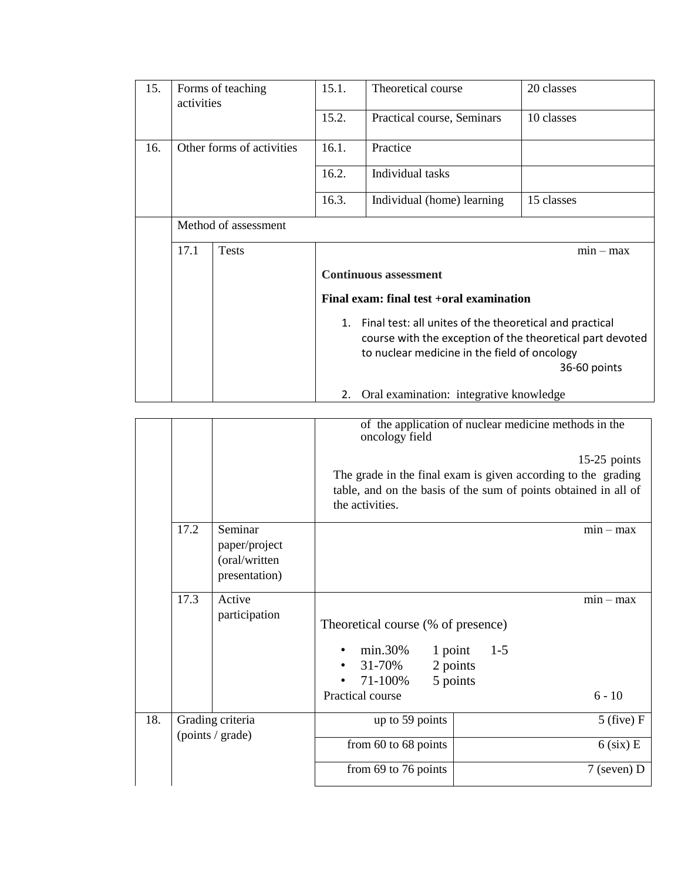| 15.                                      | Forms of teaching<br>activities                                           |  | 15.1.                                                         | Theoretical course                       | 20 classes  |  |
|------------------------------------------|---------------------------------------------------------------------------|--|---------------------------------------------------------------|------------------------------------------|-------------|--|
|                                          |                                                                           |  | 15.2.                                                         | Practical course, Seminars<br>10 classes |             |  |
| 16.                                      | Other forms of activities<br>Method of assessment<br>17.1<br><b>Tests</b> |  | 16.1.                                                         | Practice                                 |             |  |
|                                          |                                                                           |  | 16.2.                                                         | Individual tasks                         |             |  |
|                                          |                                                                           |  | 16.3.                                                         | Individual (home) learning               | 15 classes  |  |
|                                          |                                                                           |  |                                                               |                                          |             |  |
|                                          |                                                                           |  |                                                               |                                          | $min - max$ |  |
|                                          |                                                                           |  | <b>Continuous assessment</b>                                  |                                          |             |  |
| Final exam: final test +oral examination |                                                                           |  |                                                               |                                          |             |  |
|                                          |                                                                           |  | Final test: all unites of the theoretical and practical<br>1. |                                          |             |  |
|                                          |                                                                           |  | course with the exception of the theoretical part devoted     |                                          |             |  |
|                                          |                                                                           |  | to nuclear medicine in the field of oncology                  |                                          |             |  |
|                                          |                                                                           |  | 36-60 points                                                  |                                          |             |  |
|                                          |                                                                           |  | Oral examination: integrative knowledge<br>2.                 |                                          |             |  |

|     |                                      |                                                            | of the application of nuclear medicine methods in the<br>oncology field                                                                                               |                                    |  |  |
|-----|--------------------------------------|------------------------------------------------------------|-----------------------------------------------------------------------------------------------------------------------------------------------------------------------|------------------------------------|--|--|
|     |                                      |                                                            | $15-25$ points<br>The grade in the final exam is given according to the grading<br>table, and on the basis of the sum of points obtained in all of<br>the activities. |                                    |  |  |
|     | 17.2                                 | Seminar<br>paper/project<br>(oral/written<br>presentation) |                                                                                                                                                                       | $min - max$                        |  |  |
|     | 17.3                                 | Active<br>participation                                    | Theoretical course (% of presence)<br>1 point<br>$min.30\%$<br>31-70%<br>2 points<br>٠<br>5 points<br>71-100%<br>Practical course                                     | $min - max$<br>$1 - 5$<br>$6 - 10$ |  |  |
| 18. | Grading criteria<br>(points / grade) |                                                            | up to 59 points                                                                                                                                                       | $5$ (five) F                       |  |  |
|     |                                      |                                                            | from 60 to 68 points                                                                                                                                                  | $6$ (six) E                        |  |  |
|     |                                      |                                                            | from $69$ to 76 points                                                                                                                                                | $7$ (seven) D                      |  |  |